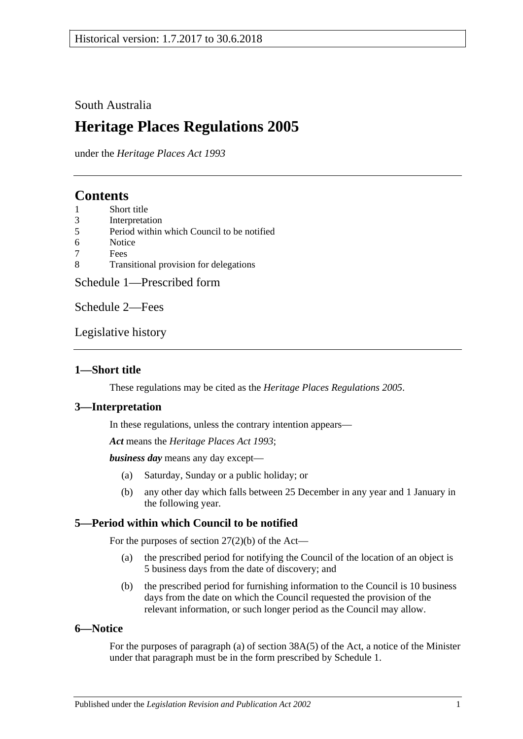### South Australia

# **Heritage Places Regulations 2005**

under the *Heritage Places Act 1993*

## **Contents**

- 1 [Short title](#page-0-0)
- 3 [Interpretation](#page-0-1)
- 5 [Period within which Council to be notified](#page-0-2)
- 6 [Notice](#page-0-3)
- 7 [Fees](#page-1-0)
- 8 [Transitional provision for delegations](#page-1-1)

[Schedule 1—Prescribed form](#page-2-0)

[Schedule 2—Fees](#page-4-0)

[Legislative history](#page-6-0)

### <span id="page-0-0"></span>**1—Short title**

These regulations may be cited as the *Heritage Places Regulations 2005*.

### <span id="page-0-1"></span>**3—Interpretation**

In these regulations, unless the contrary intention appears—

*Act* means the *[Heritage Places Act](http://www.legislation.sa.gov.au/index.aspx?action=legref&type=act&legtitle=Heritage%20Places%20Act%201993) 1993*;

*business day* means any day except—

- (a) Saturday, Sunday or a public holiday; or
- (b) any other day which falls between 25 December in any year and 1 January in the following year.

### <span id="page-0-2"></span>**5—Period within which Council to be notified**

For the purposes of section 27(2)(b) of the Act—

- (a) the prescribed period for notifying the Council of the location of an object is 5 business days from the date of discovery; and
- (b) the prescribed period for furnishing information to the Council is 10 business days from the date on which the Council requested the provision of the relevant information, or such longer period as the Council may allow.

### <span id="page-0-3"></span>**6—Notice**

For the purposes of paragraph (a) of section 38A(5) of the Act, a notice of the Minister under that paragraph must be in the form prescribed by [Schedule 1.](#page-2-0)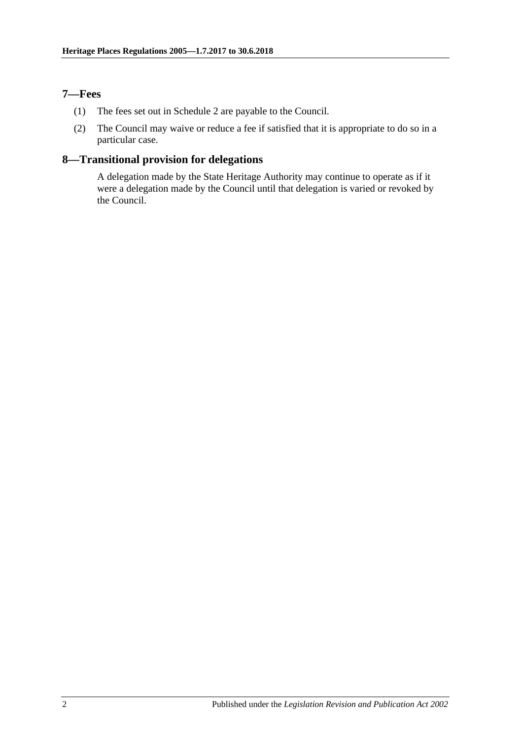### <span id="page-1-0"></span>**7—Fees**

- (1) The fees set out in Schedule 2 are payable to the Council.
- (2) The Council may waive or reduce a fee if satisfied that it is appropriate to do so in a particular case.

### <span id="page-1-1"></span>**8—Transitional provision for delegations**

A delegation made by the State Heritage Authority may continue to operate as if it were a delegation made by the Council until that delegation is varied or revoked by the Council.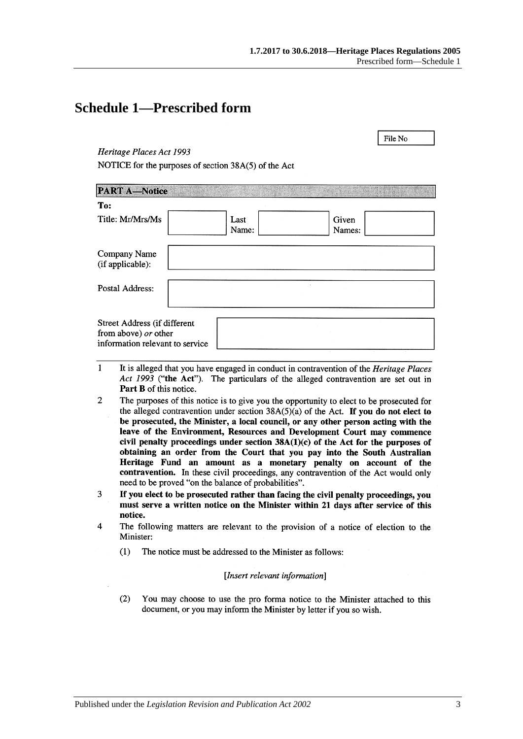File No

## <span id="page-2-0"></span>**Schedule 1—Prescribed form**

### Heritage Places Act 1993

NOTICE for the purposes of section 38A(5) of the Act

| <b>PART A-Notice</b>                                                                    |               |                 |  |
|-----------------------------------------------------------------------------------------|---------------|-----------------|--|
| To:                                                                                     |               |                 |  |
| Title: Mr/Mrs/Ms                                                                        | Last<br>Name: | Given<br>Names: |  |
| Company Name<br>(if applicable):                                                        |               |                 |  |
| Postal Address:                                                                         |               |                 |  |
| Street Address (if different<br>from above) or other<br>information relevant to service |               |                 |  |

- $\mathbf{1}$ It is alleged that you have engaged in conduct in contravention of the *Heritage Places* Act 1993 ("the Act"). The particulars of the alleged contravention are set out in Part B of this notice.
- $\overline{2}$ The purposes of this notice is to give you the opportunity to elect to be prosecuted for the alleged contravention under section  $38A(5)(a)$  of the Act. If you do not elect to be prosecuted, the Minister, a local council, or any other person acting with the leave of the Environment, Resources and Development Court may commence civil penalty proceedings under section  $38A(1)(c)$  of the Act for the purposes of obtaining an order from the Court that you pay into the South Australian Heritage Fund an amount as a monetary penalty on account of the contravention. In these civil proceedings, any contravention of the Act would only need to be proved "on the balance of probabilities".
- 3 If you elect to be prosecuted rather than facing the civil penalty proceedings, you must serve a written notice on the Minister within 21 days after service of this notice.
- $\overline{\mathbf{4}}$ The following matters are relevant to the provision of a notice of election to the Minister:
	- $(1)$ The notice must be addressed to the Minister as follows:

### [Insert relevant information]

 $(2)$ You may choose to use the pro forma notice to the Minister attached to this document, or you may inform the Minister by letter if you so wish.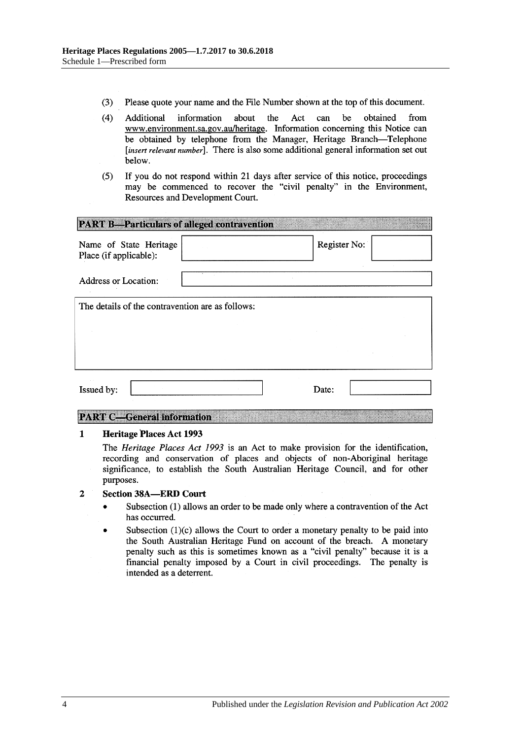- $(3)$ Please quote your name and the File Number shown at the top of this document.
- $(4)$ Act be Additional information about the can obtained from www.environment.sa.gov.au/heritage. Information concerning this Notice can be obtained by telephone from the Manager, Heritage Branch-Telephone [insert relevant number]. There is also some additional general information set out below.
- If you do not respond within 21 days after service of this notice, proceedings  $(5)$ may be commenced to recover the "civil penalty" in the Environment, Resources and Development Court.

| <b>PART B-Particulars of alleged contravention</b> |  |              |  |  |  |
|----------------------------------------------------|--|--------------|--|--|--|
| Name of State Heritage<br>Place (if applicable):   |  | Register No: |  |  |  |
| <b>Address or Location:</b>                        |  |              |  |  |  |
| The details of the contravention are as follows:   |  |              |  |  |  |
|                                                    |  |              |  |  |  |
|                                                    |  |              |  |  |  |
| Issued by:                                         |  | Date:        |  |  |  |

### **PART C-General information**

#### $\mathbf{1}$ **Heritage Places Act 1993**

The *Heritage Places Act 1993* is an Act to make provision for the identification, recording and conservation of places and objects of non-Aboriginal heritage significance, to establish the South Australian Heritage Council, and for other purposes.

#### $\overline{2}$ **Section 38A-ERD Court**

- Subsection (1) allows an order to be made only where a contravention of the Act  $\bullet$ has occurred.
- Subsection  $(1)(c)$  allows the Court to order a monetary penalty to be paid into the South Australian Heritage Fund on account of the breach. A monetary penalty such as this is sometimes known as a "civil penalty" because it is a financial penalty imposed by a Court in civil proceedings. The penalty is intended as a deterrent.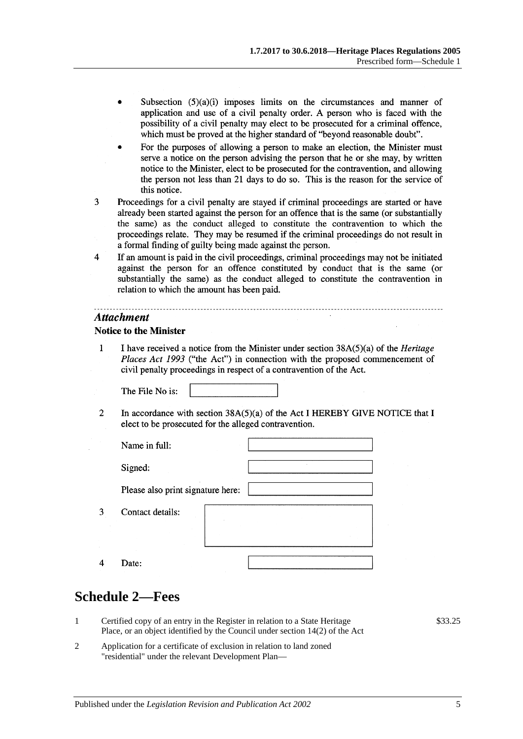- Subsection  $(5)(a)(i)$  imposes limits on the circumstances and manner of application and use of a civil penalty order. A person who is faced with the possibility of a civil penalty may elect to be prosecuted for a criminal offence, which must be proved at the higher standard of "beyond reasonable doubt".
- For the purposes of allowing a person to make an election, the Minister must serve a notice on the person advising the person that he or she may, by written notice to the Minister, elect to be prosecuted for the contravention, and allowing the person not less than 21 days to do so. This is the reason for the service of this notice.
- $\overline{3}$ Proceedings for a civil penalty are stayed if criminal proceedings are started or have already been started against the person for an offence that is the same (or substantially the same) as the conduct alleged to constitute the contravention to which the proceedings relate. They may be resumed if the criminal proceedings do not result in a formal finding of guilty being made against the person.
- $\overline{4}$ If an amount is paid in the civil proceedings, criminal proceedings may not be initiated against the person for an offence constituted by conduct that is the same (or substantially the same) as the conduct alleged to constitute the contravention in relation to which the amount has been paid.

### **Attachment**

### **Notice to the Minister**

 $\mathbf{1}$ I have received a notice from the Minister under section  $38A(5)(a)$  of the *Heritage* Places Act 1993 ("the Act") in connection with the proposed commencement of civil penalty proceedings in respect of a contravention of the Act.

The File No is:

 $\overline{2}$ In accordance with section  $38A(5)(a)$  of the Act I HEREBY GIVE NOTICE that I elect to be prosecuted for the alleged contravention.

| Name in full:                     |  |
|-----------------------------------|--|
| Signed:                           |  |
| Please also print signature here: |  |
| Contact details:                  |  |
| Date:                             |  |

## <span id="page-4-0"></span>**Schedule 2—Fees**

3

 $\overline{4}$ 

- 1 Certified copy of an entry in the Register in relation to a State Heritage Place, or an object identified by the Council under section 14(2) of the Act
- 2 Application for a certificate of exclusion in relation to land zoned "residential" under the relevant Development Plan—

\$33.25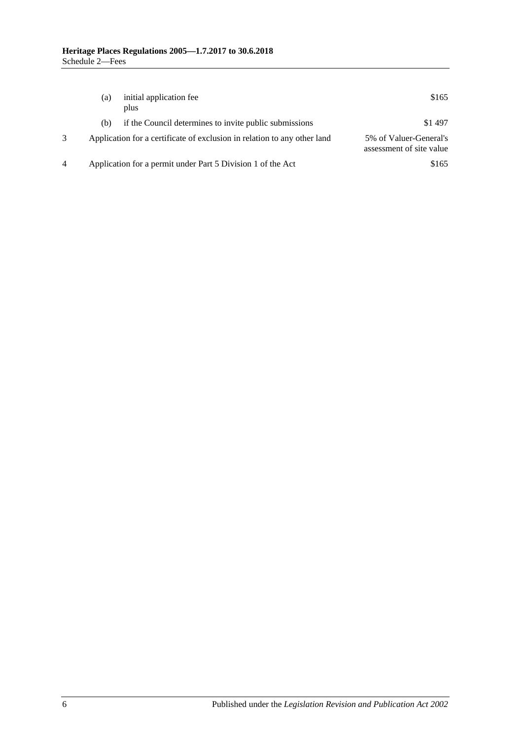| (a) | initial application fee<br>plus                                          | \$165                                              |
|-----|--------------------------------------------------------------------------|----------------------------------------------------|
| (b) | if the Council determines to invite public submissions                   | \$1497                                             |
|     | Application for a certificate of exclusion in relation to any other land | 5% of Valuer-General's<br>assessment of site value |
|     | Application for a permit under Part 5 Division 1 of the Act              | \$165                                              |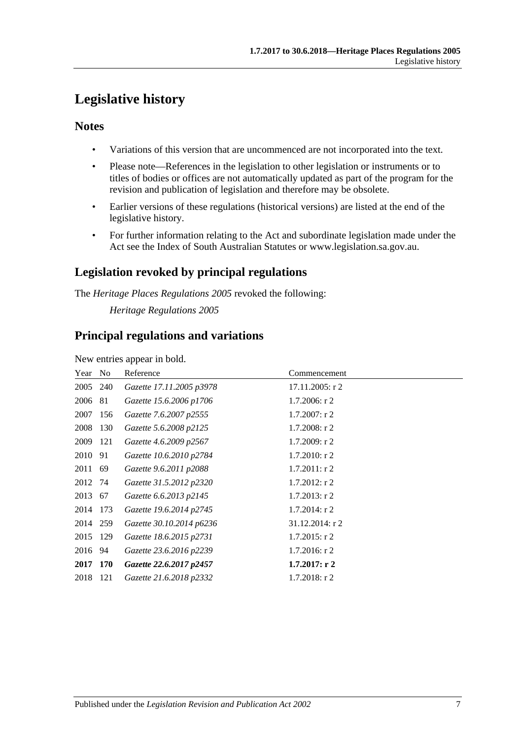# <span id="page-6-0"></span>**Legislative history**

### **Notes**

- Variations of this version that are uncommenced are not incorporated into the text.
- Please note—References in the legislation to other legislation or instruments or to titles of bodies or offices are not automatically updated as part of the program for the revision and publication of legislation and therefore may be obsolete.
- Earlier versions of these regulations (historical versions) are listed at the end of the legislative history.
- For further information relating to the Act and subordinate legislation made under the Act see the Index of South Australian Statutes or www.legislation.sa.gov.au.

## **Legislation revoked by principal regulations**

The *Heritage Places Regulations 2005* revoked the following:

*Heritage Regulations 2005*

### **Principal regulations and variations**

New entries appear in bold.

| Year No  |     | Reference                | Commencement      |
|----------|-----|--------------------------|-------------------|
| 2005 240 |     | Gazette 17.11.2005 p3978 | $17.11.2005:$ r 2 |
| 2006 81  |     | Gazette 15.6.2006 p1706  | $1.7.2006$ : r 2  |
| 2007     | 156 | Gazette 7.6.2007 p2555   | $1.7.2007:$ r 2   |
| 2008     | 130 | Gazette 5.6.2008 p2125   | $1.7.2008:$ r 2   |
| 2009     | 121 | Gazette 4.6.2009 p2567   | 1.7.2009: r2      |
| 2010     | 91  | Gazette 10.6.2010 p2784  | $1.7.2010$ : r 2  |
| 2011 69  |     | Gazette 9.6.2011 p2088   | $1.7.2011$ : r 2  |
| 2012 74  |     | Gazette 31.5.2012 p2320  | $1.7.2012$ : r 2  |
| 2013 67  |     | Gazette 6.6.2013 p2145   | $1.7.2013$ : r 2  |
| 2014 173 |     | Gazette 19.6.2014 p2745  | $1.7.2014$ : r 2  |
| 2014 259 |     | Gazette 30.10.2014 p6236 | 31.12.2014: r 2   |
| 2015     | 129 | Gazette 18.6.2015 p2731  | $1.7.2015$ : r 2  |
| 2016 94  |     | Gazette 23.6.2016 p2239  | $1.7.2016$ : r 2  |
| 2017 170 |     | Gazette 22.6.2017 p2457  | 1.7.2017: r2      |
| 2018     | 121 | Gazette 21.6.2018 p2332  | $1.7.2018$ : r 2  |